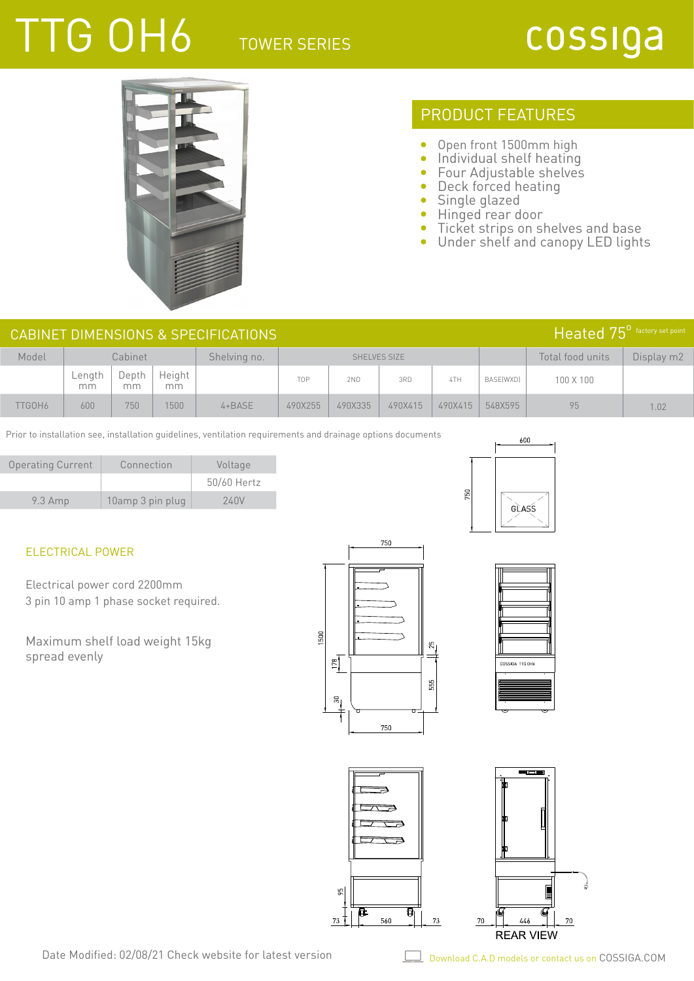## TTG OH6 TOWER SERIES

## cossiga



### PRODUCT FEATURES

- $\bullet$ Open front 1500mm high
- $\bullet$ Individual shelf heating
- $\bullet$ Four Adjustable shelves
- $\bullet$ Deck forced heating
- $\bullet$ Single glazed

750

- Hinged rear door  $\bullet$  .
- $\bullet$ Ticket strips on shelves and base
- $\bullet$ Under shelf and canopy LED lights

| $Heated 75^{\circ}$ factory set point<br>CABINET DIMENSIONS & SPECIFICATIONS |              |             |              |              |              |         |         |         |                  |                  |            |
|------------------------------------------------------------------------------|--------------|-------------|--------------|--------------|--------------|---------|---------|---------|------------------|------------------|------------|
| Model                                                                        | Cabinet      |             |              | Shelving no. | SHELVES SIZE |         |         |         |                  | Total food units | Display m2 |
|                                                                              | Length<br>mm | Depth<br>mm | Height<br>mm |              | TOP          | 2ND     | 3RD     | 4TH     | <b>BASE(WXD)</b> | 100 X 100        |            |
| TTGOH6                                                                       | 600          | 750         | 1500         | $4 + BASE$   | 490X255      | 490X335 | 490X415 | 490X415 | 548X595          | 95               | 1.02       |

Prior to installation see, installation guidelines, ventilation requirements and drainage options documents

| <b>Operating Current</b> | Connection       | Voltage     |
|--------------------------|------------------|-------------|
|                          |                  | 50/60 Hertz |
| $9.3$ Amp                | 10amp 3 pin plug | 240V        |

### ELECTRICAL POWER

Electrical power cord 2200mm 3 pin 10 amp 1 phase socket required.

Maximum shelf load weight 15kg spread evenly





600